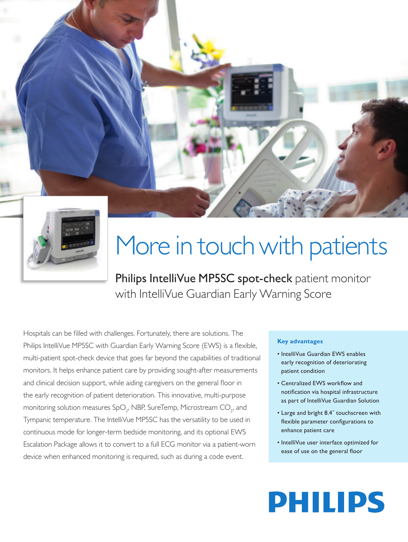



# More in touch with patients

Philips IntelliVue MP5SC spot-check patient monitor with IntelliVue Guardian Early Warning Score

Hospitals can be filled with challenges. Fortunately, there are solutions. The Philips IntelliVue MP5SC with Guardian Early Warning Score (EWS) is a flexible, multi-patient spot-check device that goes far beyond the capabilities of traditional monitors. It helps enhance patient care by providing sought-after measurements and clinical decision support, while aiding caregivers on the general floor in the early recognition of patient deterioration. This innovative, multi-purpose monitoring solution measures SpO $_{_2}$ , NBP, SureTemp, Microstream CO $_{_2}$ , and Tympanic temperature. The IntelliVue MP5SC has the versatility to be used in continuous mode for longer-term bedside monitoring, and its optional EWS Escalation Package allows it to convert to a full ECG monitor via a patient-worn device when enhanced monitoring is required, such as during a code event.

### **Key advantages**

- IntelliVue Guardian EWS enables early recognition of deteriorating patient condition
- Centralized EWS workflow and notification via hospital infrastructure as part of IntelliVue Guardian Solution
- Large and bright 8.4˝ touchscreen with flexible parameter configurations to enhance patient care
- IntelliVue user interface optimized for ease of use on the general floor

# **PHILIPS**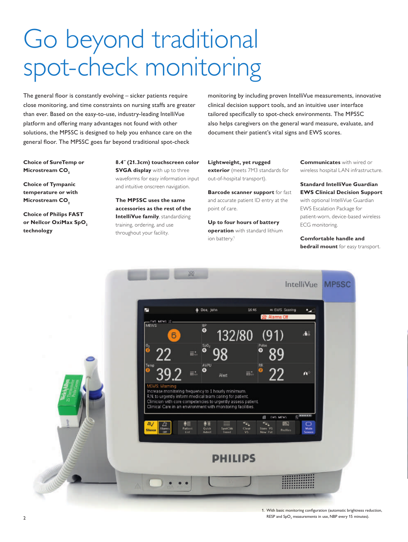## Go beyond traditional spot-check monitoring

The general floor is constantly evolving – sicker patients require close monitoring, and time constraints on nursing staffs are greater than ever. Based on the easy-to-use, industry-leading IntelliVue platform and offering many advantages not found with other solutions, the MP5SC is designed to help you enhance care on the general floor. The MP5SC goes far beyond traditional spot-check

monitoring by including proven IntelliVue measurements, innovative clinical decision support tools, and an intuitive user interface tailored specifically to spot-check environments. The MP5SC also helps caregivers on the general ward measure, evaluate, and document their patient's vital signs and EWS scores.

**Choice of SureTemp or Microstream CO<sub>2</sub>** 

**Choice of Tympanic temperature or with Microstream CO<sub>2</sub>** 

**Choice of Philips FAST**  or Nellcor OxiMax SpO<sub>2</sub> **technology**

**8.4˝ (21.3cm) touchscreen color SVGA display** with up to three waveforms for easy information input and intuitive onscreen navigation.

**The MP5SC uses the same accessories as the rest of the IntelliVue family**, standardizing training, ordering, and use throughout your facility.

**Lightweight, yet rugged exterior** (meets 7M3 standards for out-of-hospital transport).

**Barcode scanner support** for fast and accurate patient ID entry at the point of care.

**Up to four hours of battery operation** with standard lithium ion battery.<sup>1</sup>

**Communicates** with wired or wireless hospital LAN infrastructure.

**Standard IntelliVue Guardian EWS Clinical Decision Support** with optional IntelliVue Guardian EWS Escalation Package for patient-worn, device-based wireless ECG monitoring.

**Comfortable handle and bedrail mount** for easy transport.



RESP and  $SpO<sub>2</sub>$  measurements in use, NBP every 15 minutes).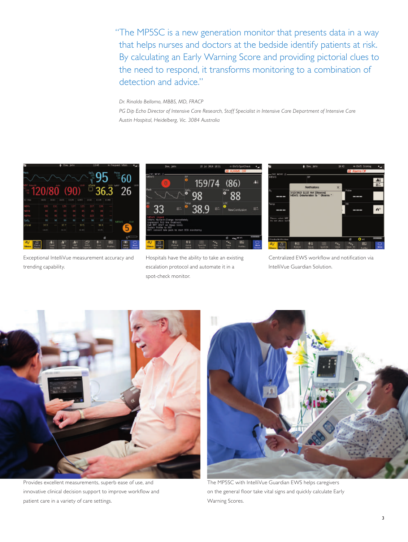"The MP5SC is a new generation monitor that presents data in a way that helps nurses and doctors at the bedside identify patients at risk. By calculating an Early Warning Score and providing pictorial clues to the need to respond, it transforms monitoring to a combination of detection and advice."

*Dr. Rinaldo Bellomo, MBBS, MD, FRACP* 

*PG Dip Echo Director of Intensive Care Research, Staff Specialist in Intensive Care Department of Intensive Care Austin Hospital, Heidelberg, Vic. 3084 Australia*



Exceptional IntelliVue measurement accuracy and trending capability.



Hospitals have the ability to take an existing escalation protocol and automate it in a spot-check monitor.



Centralized EWS workflow and notification via IntelliVue Guardian Solution.



Provides excellent measurements, superb ease of use, and innovative clinical decision support to improve workflow and patient care in a variety of care settings.



The MP5SC with IntelliVue Guardian EWS helps caregivers on the general floor take vital signs and quickly calculate Early Warning Scores.